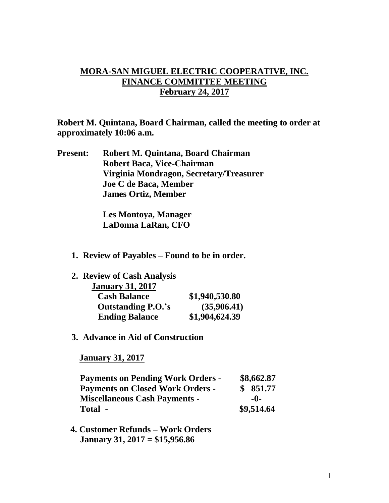## **MORA-SAN MIGUEL ELECTRIC COOPERATIVE, INC. FINANCE COMMITTEE MEETING February 24, 2017**

**Robert M. Quintana, Board Chairman, called the meeting to order at approximately 10:06 a.m.**

**Present: Robert M. Quintana, Board Chairman Robert Baca, Vice-Chairman Virginia Mondragon, Secretary/Treasurer Joe C de Baca, Member James Ortiz, Member**

> **Les Montoya, Manager LaDonna LaRan, CFO**

**1. Review of Payables – Found to be in order.**

| 2. Review of Cash Analysis |                |
|----------------------------|----------------|
| <b>January 31, 2017</b>    |                |
| <b>Cash Balance</b>        | \$1,940,530.80 |
| <b>Outstanding P.O.'s</b>  | (35,906.41)    |
| <b>Ending Balance</b>      | \$1,904,624.39 |

**3. Advance in Aid of Construction**

 **January 31, 2017**

| <b>Payments on Pending Work Orders -</b> | \$8,662.87 |
|------------------------------------------|------------|
| <b>Payments on Closed Work Orders -</b>  | \$851.77   |
| <b>Miscellaneous Cash Payments -</b>     | -0-        |
| Total -                                  | \$9,514.64 |

 **4. Customer Refunds – Work Orders January 31, 2017 = \$15,956.86**